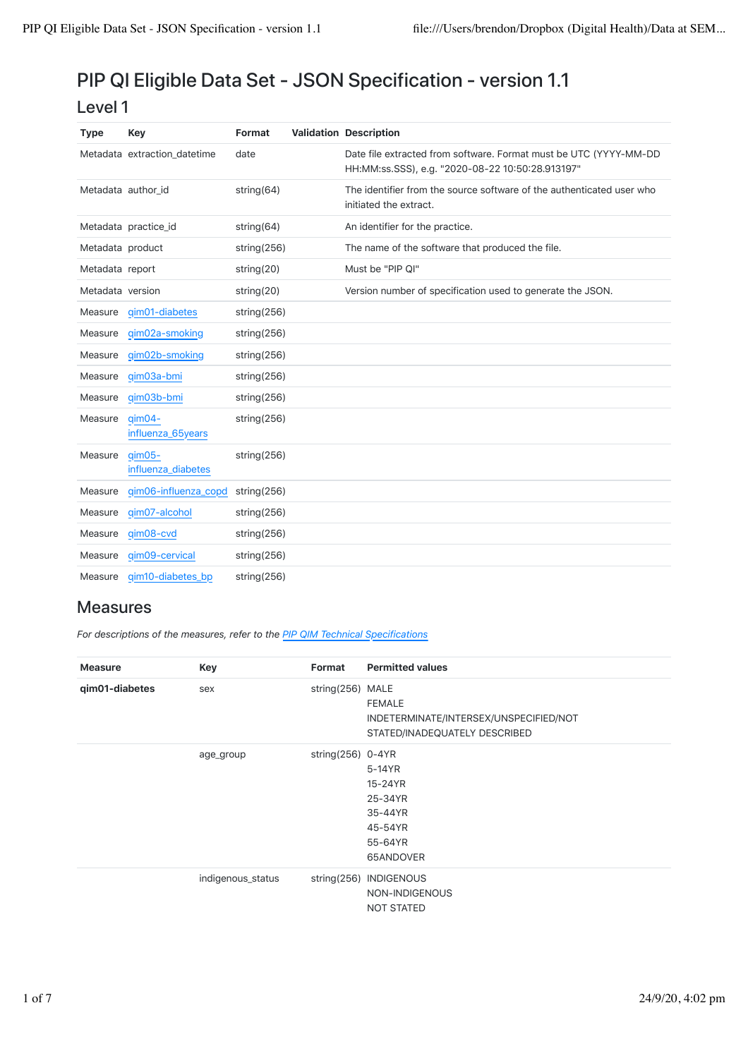## PIP QI Eligible Data Set - JSON Specification - version 1.1

| ٧<br>۰.<br>v. |  |
|---------------|--|
|---------------|--|

| <b>Type</b>        | Key                               | Format         | <b>Validation Description</b>                                                                                         |
|--------------------|-----------------------------------|----------------|-----------------------------------------------------------------------------------------------------------------------|
|                    | Metadata extraction datetime      | date           | Date file extracted from software. Format must be UTC (YYYY-MM-DD<br>HH:MM:ss.SSS), e.g. "2020-08-22 10:50:28.913197" |
| Metadata author id |                                   | string $(64)$  | The identifier from the source software of the authenticated user who<br>initiated the extract.                       |
|                    | Metadata practice_id              | string $(64)$  | An identifier for the practice.                                                                                       |
| Metadata product   |                                   | string $(256)$ | The name of the software that produced the file.                                                                      |
| Metadata report    |                                   | string $(20)$  | Must be "PIP QI"                                                                                                      |
| Metadata version   |                                   | string(20)     | Version number of specification used to generate the JSON.                                                            |
| Measure            | qim01-diabetes                    | string $(256)$ |                                                                                                                       |
| Measure            | qim02a-smoking                    | string $(256)$ |                                                                                                                       |
| Measure            | gim02b-smoking                    | string $(256)$ |                                                                                                                       |
| Measure            | qim03a-bmi                        | string $(256)$ |                                                                                                                       |
| Measure            | qim03b-bmi                        | string $(256)$ |                                                                                                                       |
| Measure            | $q$ im $04-$<br>influenza_65years | string $(256)$ |                                                                                                                       |
| Measure            | $q$ im 05-<br>influenza diabetes  | string $(256)$ |                                                                                                                       |
| Measure            | qim06-influenza_copd              | string $(256)$ |                                                                                                                       |
| Measure            | qim07-alcohol                     | string $(256)$ |                                                                                                                       |
| Measure            | qim08-cvd                         | string $(256)$ |                                                                                                                       |
| Measure            | qim09-cervical                    | string $(256)$ |                                                                                                                       |
| Measure            | qim10-diabetes_bp                 | string $(256)$ |                                                                                                                       |

## Measures

*For descriptions of the measures, refer to the PIP QIM Technical Specifications*

| <b>Measure</b> | Key               | Format               | <b>Permitted values</b>                |
|----------------|-------------------|----------------------|----------------------------------------|
| qim01-diabetes | sex               | string(256) MALE     |                                        |
|                |                   |                      | <b>FEMALE</b>                          |
|                |                   |                      | INDETERMINATE/INTERSEX/UNSPECIFIED/NOT |
|                |                   |                      | STATED/INADEQUATELY DESCRIBED          |
|                | age_group         | string $(256)$ 0-4YR |                                        |
|                |                   |                      | 5-14YR                                 |
|                |                   |                      | 15-24YR                                |
|                |                   |                      | 25-34YR                                |
|                |                   |                      | 35-44YR                                |
|                |                   |                      | 45-54YR                                |
|                |                   |                      | 55-64YR                                |
|                |                   |                      | 65ANDOVER                              |
|                | indigenous_status | string $(256)$       | <b>INDIGENOUS</b>                      |
|                |                   |                      | NON-INDIGENOUS                         |
|                |                   |                      | <b>NOT STATED</b>                      |
|                |                   |                      |                                        |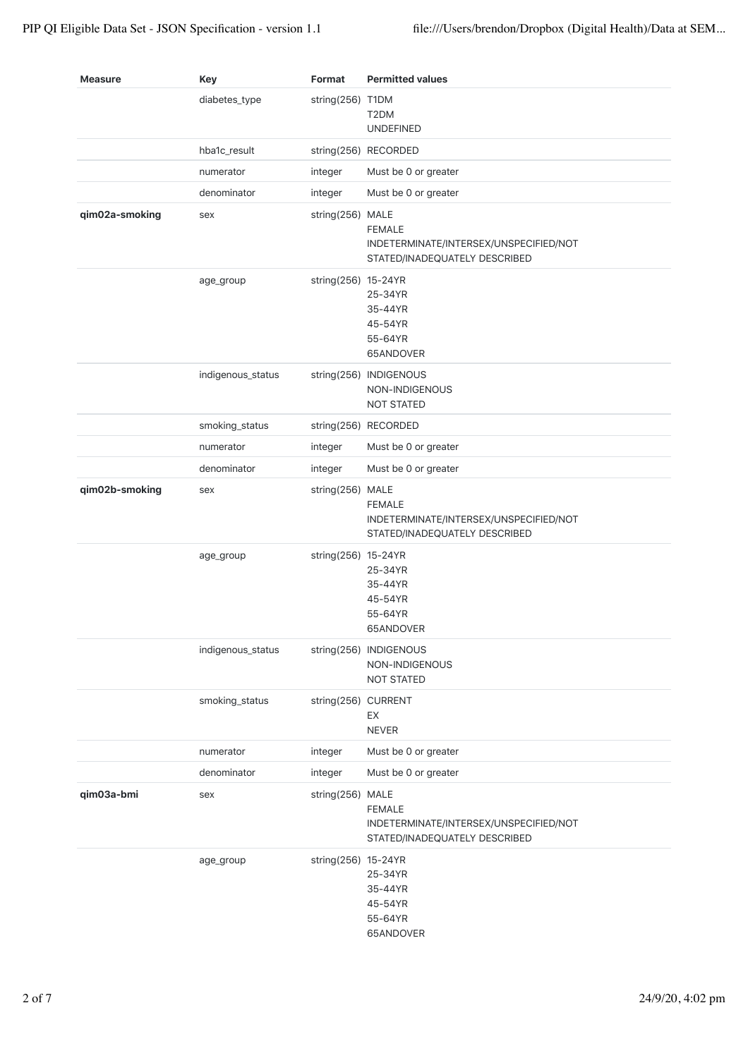| <b>Measure</b> | <b>Key</b>        | Format              | <b>Permitted values</b>                                                                  |
|----------------|-------------------|---------------------|------------------------------------------------------------------------------------------|
|                | diabetes_type     | string(256) T1DM    | T2DM<br><b>UNDEFINED</b>                                                                 |
|                | hba1c_result      |                     | string(256) RECORDED                                                                     |
|                | numerator         | integer             | Must be 0 or greater                                                                     |
|                | denominator       | integer             | Must be 0 or greater                                                                     |
| qim02a-smoking | sex               | string(256) MALE    | <b>FEMALE</b><br>INDETERMINATE/INTERSEX/UNSPECIFIED/NOT<br>STATED/INADEQUATELY DESCRIBED |
|                | age_group         | string(256) 15-24YR | 25-34YR<br>35-44YR<br>45-54YR<br>55-64YR<br>65ANDOVER                                    |
|                | indigenous_status |                     | string(256) INDIGENOUS<br>NON-INDIGENOUS<br><b>NOT STATED</b>                            |
|                | smoking_status    |                     | string(256) RECORDED                                                                     |
|                | numerator         | integer             | Must be 0 or greater                                                                     |
|                | denominator       | integer             | Must be 0 or greater                                                                     |
| qim02b-smoking | sex               | string(256) MALE    | <b>FEMALE</b><br>INDETERMINATE/INTERSEX/UNSPECIFIED/NOT<br>STATED/INADEQUATELY DESCRIBED |
|                | age_group         | string(256) 15-24YR | 25-34YR<br>35-44YR<br>45-54YR<br>55-64YR<br>65ANDOVER                                    |
|                | indigenous_status |                     | string(256) INDIGENOUS<br>NON-INDIGENOUS<br><b>NOT STATED</b>                            |
|                | smoking_status    | string(256) CURRENT | EX<br><b>NEVER</b>                                                                       |
|                | numerator         | integer             | Must be 0 or greater                                                                     |
|                | denominator       | integer             | Must be 0 or greater                                                                     |
| qim03a-bmi     | sex               | string(256) MALE    | <b>FEMALE</b><br>INDETERMINATE/INTERSEX/UNSPECIFIED/NOT<br>STATED/INADEQUATELY DESCRIBED |
|                | age_group         | string(256) 15-24YR | 25-34YR<br>35-44YR<br>45-54YR<br>55-64YR<br>65ANDOVER                                    |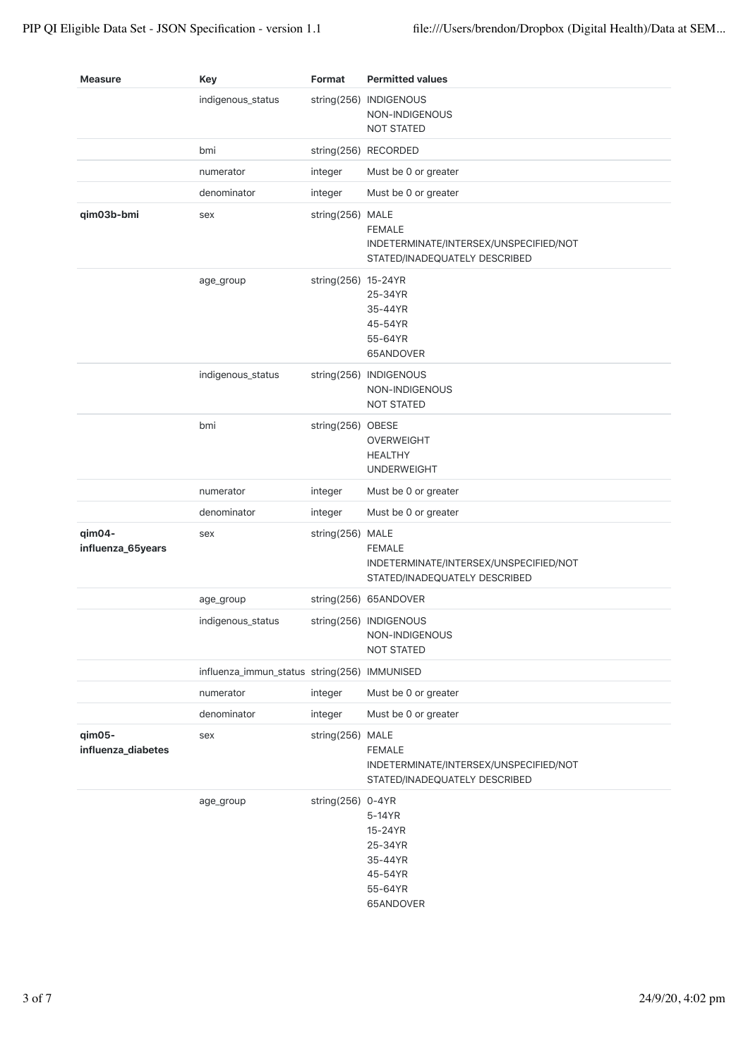| <b>Measure</b>               | <b>Key</b>                                   | Format              | <b>Permitted values</b>                                                                  |
|------------------------------|----------------------------------------------|---------------------|------------------------------------------------------------------------------------------|
|                              | indigenous_status                            |                     | string(256) INDIGENOUS<br>NON-INDIGENOUS<br><b>NOT STATED</b>                            |
|                              | bmi                                          |                     | string(256) RECORDED                                                                     |
|                              | numerator                                    | integer             | Must be 0 or greater                                                                     |
|                              | denominator                                  | integer             | Must be 0 or greater                                                                     |
| qim03b-bmi                   | sex                                          | string(256) MALE    | <b>FEMALE</b><br>INDETERMINATE/INTERSEX/UNSPECIFIED/NOT<br>STATED/INADEQUATELY DESCRIBED |
|                              | age_group                                    | string(256) 15-24YR | 25-34YR<br>35-44YR<br>45-54YR<br>55-64YR<br>65ANDOVER                                    |
|                              | indigenous_status                            |                     | string(256) INDIGENOUS<br>NON-INDIGENOUS<br><b>NOT STATED</b>                            |
|                              | bmi                                          | string(256) OBESE   | <b>OVERWEIGHT</b><br><b>HEALTHY</b><br><b>UNDERWEIGHT</b>                                |
|                              | numerator                                    | integer             | Must be 0 or greater                                                                     |
|                              | denominator                                  | integer             | Must be 0 or greater                                                                     |
| qim04-<br>influenza_65years  | sex                                          | string(256) MALE    | <b>FEMALE</b><br>INDETERMINATE/INTERSEX/UNSPECIFIED/NOT<br>STATED/INADEQUATELY DESCRIBED |
|                              | age_group                                    |                     | string(256) 65ANDOVER                                                                    |
|                              | indigenous_status                            |                     | string(256) INDIGENOUS<br>NON-INDIGENOUS<br><b>NOT STATED</b>                            |
|                              | influenza_immun_status string(256) IMMUNISED |                     |                                                                                          |
|                              | numerator                                    | integer             | Must be 0 or greater                                                                     |
|                              | denominator                                  | integer             | Must be 0 or greater                                                                     |
| qim05-<br>influenza_diabetes | sex                                          | string(256) MALE    | <b>FEMALE</b><br>INDETERMINATE/INTERSEX/UNSPECIFIED/NOT<br>STATED/INADEQUATELY DESCRIBED |
|                              | age_group                                    | string(256) 0-4YR   | 5-14YR<br>15-24YR<br>25-34YR<br>35-44YR<br>45-54YR<br>55-64YR<br>65ANDOVER               |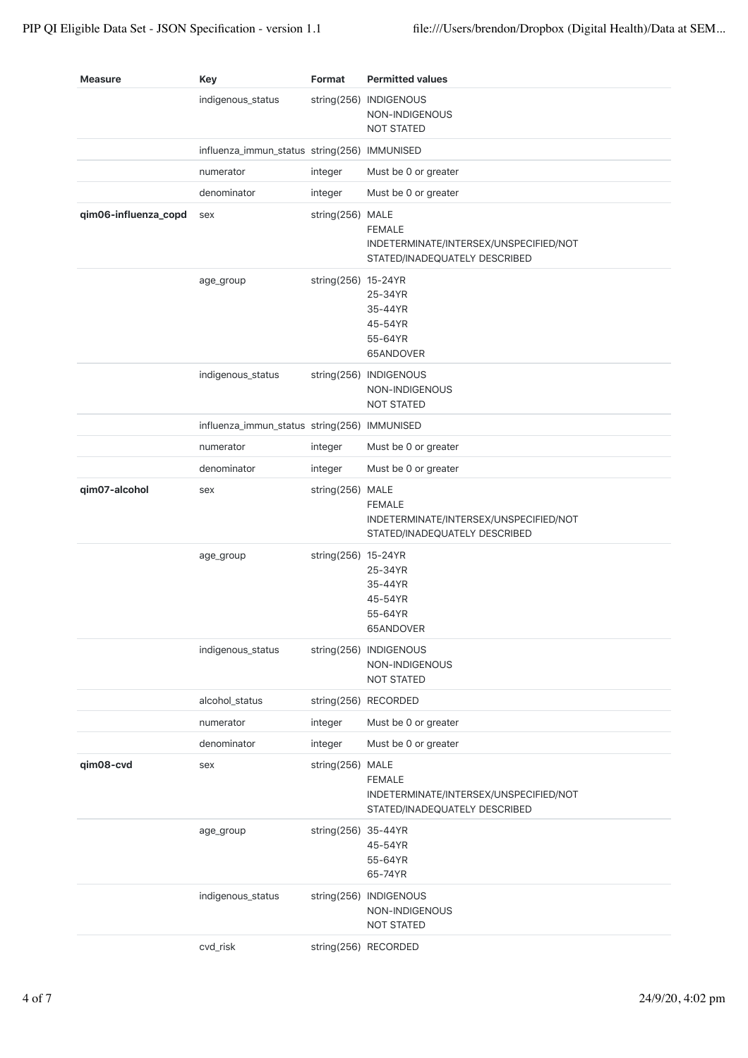| <b>Measure</b>       | <b>Key</b>                                   | Format              | <b>Permitted values</b>                                                                  |
|----------------------|----------------------------------------------|---------------------|------------------------------------------------------------------------------------------|
|                      | indigenous_status                            |                     | string(256) INDIGENOUS<br>NON-INDIGENOUS<br><b>NOT STATED</b>                            |
|                      | influenza_immun_status string(256) IMMUNISED |                     |                                                                                          |
|                      | numerator                                    | integer             | Must be 0 or greater                                                                     |
|                      | denominator                                  | integer             | Must be 0 or greater                                                                     |
| qim06-influenza_copd | sex                                          | string(256) MALE    | <b>FEMALE</b><br>INDETERMINATE/INTERSEX/UNSPECIFIED/NOT<br>STATED/INADEQUATELY DESCRIBED |
|                      | age_group                                    | string(256) 15-24YR | 25-34YR<br>35-44YR<br>45-54YR<br>55-64YR<br>65ANDOVER                                    |
|                      | indigenous_status                            |                     | string(256) INDIGENOUS<br>NON-INDIGENOUS<br><b>NOT STATED</b>                            |
|                      | influenza_immun_status string(256) IMMUNISED |                     |                                                                                          |
|                      | numerator                                    | integer             | Must be 0 or greater                                                                     |
|                      | denominator                                  | integer             | Must be 0 or greater                                                                     |
| qim07-alcohol        | sex                                          | string(256) MALE    | <b>FEMALE</b><br>INDETERMINATE/INTERSEX/UNSPECIFIED/NOT<br>STATED/INADEQUATELY DESCRIBED |
|                      | age_group                                    | string(256) 15-24YR | 25-34YR<br>35-44YR<br>45-54YR<br>55-64YR<br>65ANDOVER                                    |
|                      | indigenous_status                            |                     | string(256) INDIGENOUS<br>NON-INDIGENOUS<br><b>NOT STATED</b>                            |
|                      | alcohol_status                               |                     | string(256) RECORDED                                                                     |
|                      | numerator                                    | integer             | Must be 0 or greater                                                                     |
|                      | denominator                                  | integer             | Must be 0 or greater                                                                     |
| qim08-cvd            | sex                                          | string(256) MALE    | <b>FEMALE</b><br>INDETERMINATE/INTERSEX/UNSPECIFIED/NOT<br>STATED/INADEQUATELY DESCRIBED |
|                      | age_group                                    | string(256) 35-44YR | 45-54YR<br>55-64YR<br>65-74YR                                                            |
|                      | indigenous_status                            |                     | string(256) INDIGENOUS<br>NON-INDIGENOUS<br><b>NOT STATED</b>                            |
|                      | cvd_risk                                     |                     | string(256) RECORDED                                                                     |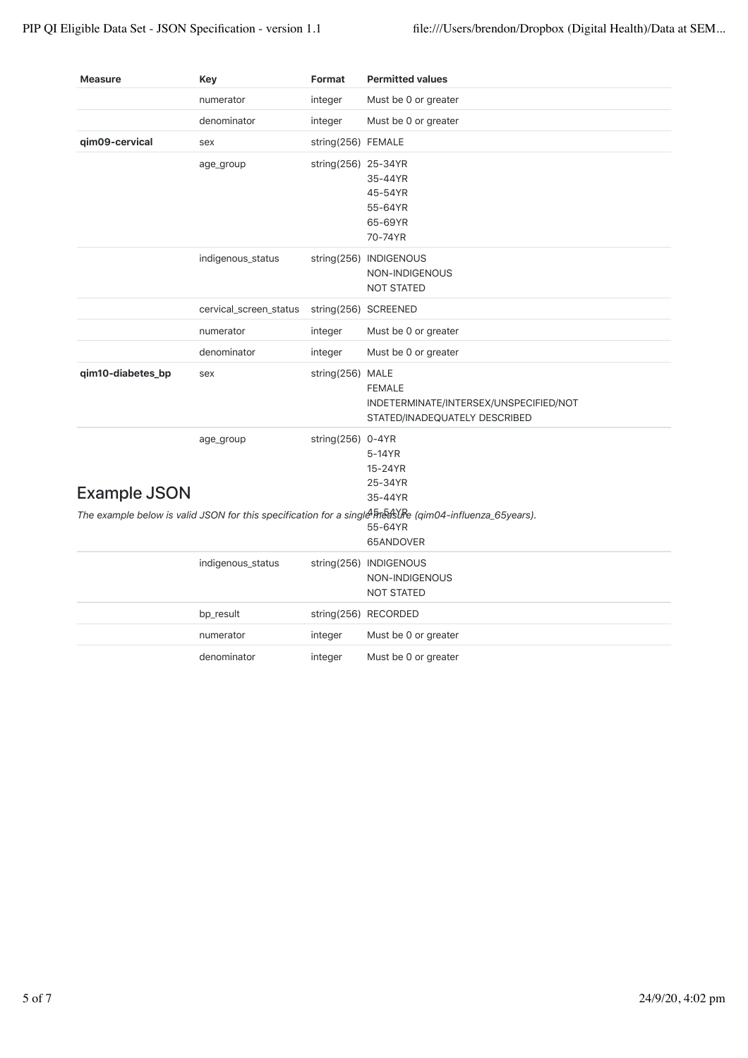| <b>Measure</b>      | Key                    | Format              | <b>Permitted values</b>                                                                                                         |
|---------------------|------------------------|---------------------|---------------------------------------------------------------------------------------------------------------------------------|
|                     | numerator              | integer             | Must be 0 or greater                                                                                                            |
|                     | denominator            | integer             | Must be 0 or greater                                                                                                            |
| qim09-cervical      | sex                    | string(256) FEMALE  |                                                                                                                                 |
|                     | age_group              | string(256) 25-34YR | 35-44YR<br>45-54YR<br>55-64YR<br>65-69YR<br>70-74YR                                                                             |
|                     | indigenous_status      |                     | string(256) INDIGENOUS<br>NON-INDIGENOUS<br><b>NOT STATED</b>                                                                   |
|                     | cervical_screen_status |                     | string(256) SCREENED                                                                                                            |
|                     | numerator              | integer             | Must be 0 or greater                                                                                                            |
|                     | denominator            | integer             | Must be 0 or greater                                                                                                            |
| qim10-diabetes_bp   | sex                    | string(256) MALE    | <b>FEMALE</b><br>INDETERMINATE/INTERSEX/UNSPECIFIED/NOT<br>STATED/INADEQUATELY DESCRIBED                                        |
|                     | age_group              | string(256) 0-4YR   | 5-14YR<br>15-24YR                                                                                                               |
| <b>Example JSON</b> |                        |                     | 25-34YR<br>35-44YR                                                                                                              |
|                     |                        |                     | The example below is valid JSON for this specification for a single FreaSURe (qim04-influenza_65years).<br>55-64YR<br>65ANDOVER |
|                     | indigenous_status      |                     | string(256) INDIGENOUS<br>NON-INDIGENOUS<br><b>NOT STATED</b>                                                                   |
|                     | bp_result              |                     | string(256) RECORDED                                                                                                            |
|                     | numerator              | integer             | Must be 0 or greater                                                                                                            |
|                     | denominator            | integer             | Must be 0 or greater                                                                                                            |